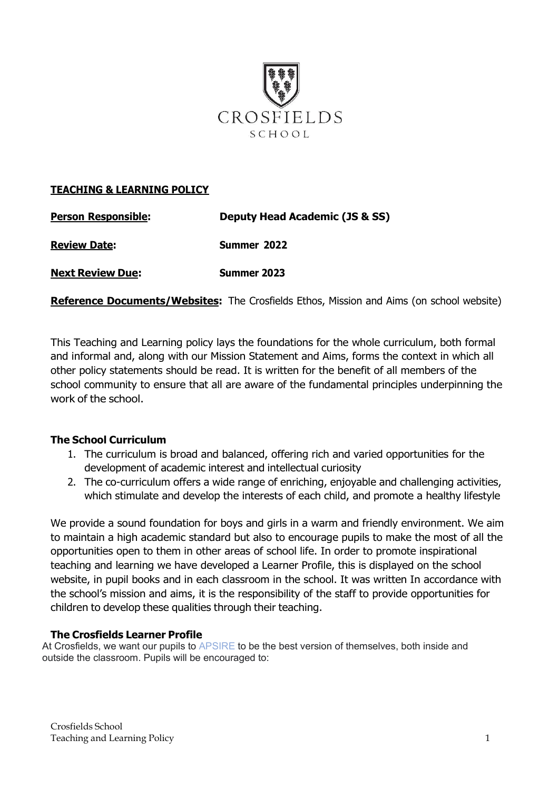

### **TEACHING & LEARNING POLICY**

| <b>Person Responsible:</b> | Deputy Head Academic (JS & SS) |
|----------------------------|--------------------------------|
| <b>Review Date:</b>        | Summer 2022                    |
| <b>Next Review Due:</b>    | Summer 2023                    |

**Reference Documents/Websites:** The Crosfields Ethos, Mission and Aims (on school website)

This Teaching and Learning policy lays the foundations for the whole curriculum, both formal and informal and, along with our Mission Statement and Aims, forms the context in which all other policy statements should be read. It is written for the benefit of all members of the school community to ensure that all are aware of the fundamental principles underpinning the work of the school.

#### **The School Curriculum**

- 1. The curriculum is broad and balanced, offering rich and varied opportunities for the development of academic interest and intellectual curiosity
- 2. The co-curriculum offers a wide range of enriching, enjoyable and challenging activities, which stimulate and develop the interests of each child, and promote a healthy lifestyle

We provide a sound foundation for boys and girls in a warm and friendly environment. We aim to maintain a high academic standard but also to encourage pupils to make the most of all the opportunities open to them in other areas of school life. In order to promote inspirational teaching and learning we have developed a Learner Profile, this is displayed on the school website, in pupil books and in each classroom in the school. It was written In accordance with the school's mission and aims, it is the responsibility of the staff to provide opportunities for children to develop these qualities through their teaching.

#### **The Crosfields Learner Profile**

At Crosfields, we want our pupils to APSIRE to be the best version of themselves, both inside and outside the classroom. Pupils will be encouraged to: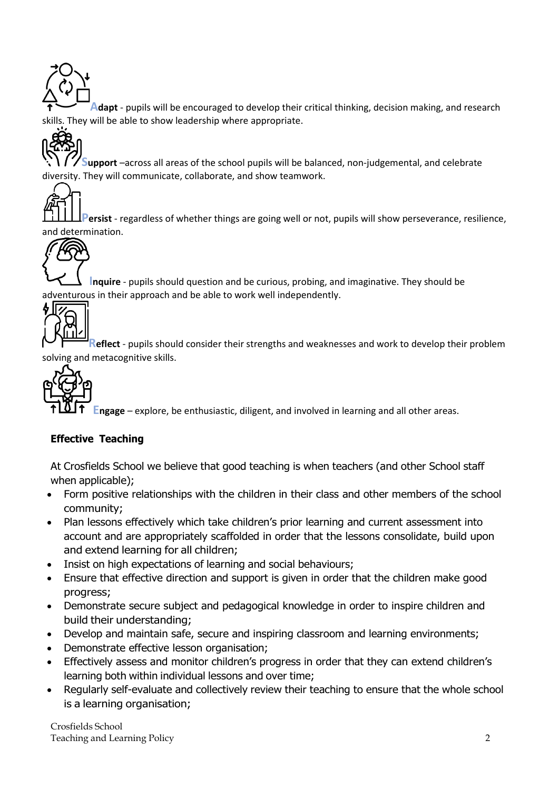**Adapt** - pupils will be encouraged to develop their critical thinking, decision making, and research skills. They will be able to show leadership where appropriate.



**Support** –across all areas of the school pupils will be balanced, non-judgemental, and celebrate diversity. They will communicate, collaborate, and show teamwork.



**Persist** - regardless of whether things are going well or not, pupils will show perseverance, resilience, and determination.



**Inquire** - pupils should question and be curious, probing, and imaginative. They should be adventurous in their approach and be able to work well independently.



**Reflect** - pupils should consider their strengths and weaknesses and work to develop their problem and metacognitive skills.



**Engage** – explore, be enthusiastic, diligent, and involved in learning and all other areas.

# **Effective Teaching**

At Crosfields School we believe that good teaching is when teachers (and other School staff when applicable);

- Form positive relationships with the children in their class and other members of the school community;
- Plan lessons effectively which take children's prior learning and current assessment into account and are appropriately scaffolded in order that the lessons consolidate, build upon and extend learning for all children;
- Insist on high expectations of learning and social behaviours;
- Ensure that effective direction and support is given in order that the children make good progress;
- Demonstrate secure subject and pedagogical knowledge in order to inspire children and build their understanding;
- Develop and maintain safe, secure and inspiring classroom and learning environments;
- Demonstrate effective lesson organisation;
- Effectively assess and monitor children's progress in order that they can extend children's learning both within individual lessons and over time;
- Regularly self-evaluate and collectively review their teaching to ensure that the whole school is a learning organisation;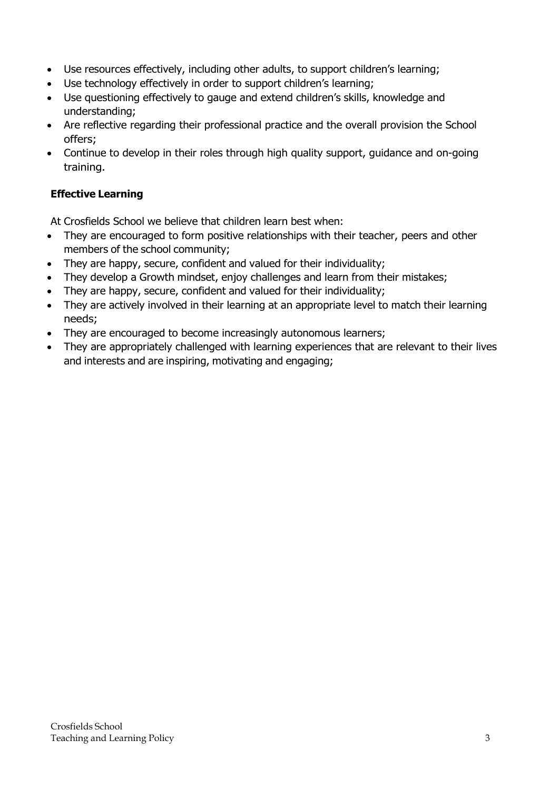- Use resources effectively, including other adults, to support children's learning;
- Use technology effectively in order to support children's learning;
- Use questioning effectively to gauge and extend children's skills, knowledge and understanding;
- Are reflective regarding their professional practice and the overall provision the School offers;
- Continue to develop in their roles through high quality support, guidance and on-going training.

## **Effective Learning**

At Crosfields School we believe that children learn best when:

- They are encouraged to form positive relationships with their teacher, peers and other members of the school community;
- They are happy, secure, confident and valued for their individuality;
- They develop a Growth mindset, enjoy challenges and learn from their mistakes;
- They are happy, secure, confident and valued for their individuality;
- They are actively involved in their learning at an appropriate level to match their learning needs;
- They are encouraged to become increasingly autonomous learners;
- They are appropriately challenged with learning experiences that are relevant to their lives and interests and are inspiring, motivating and engaging;